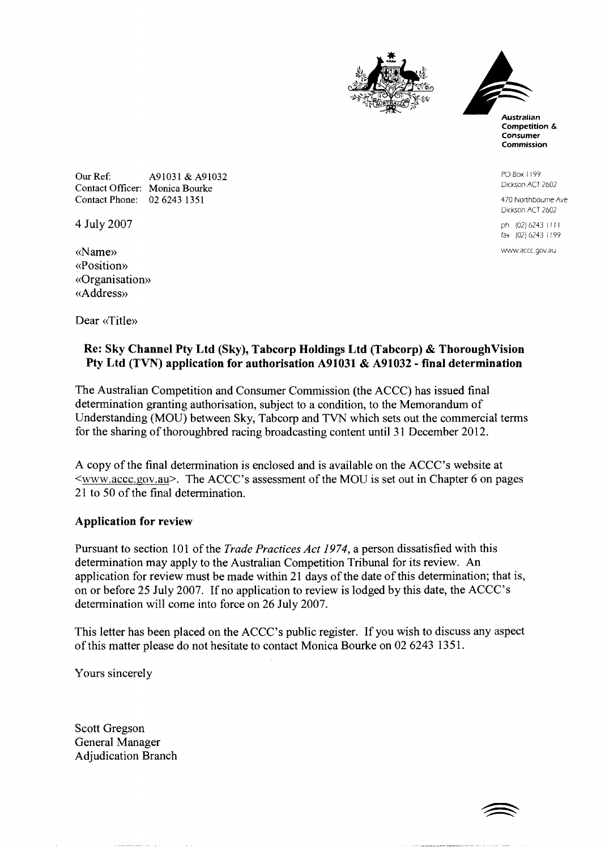



PO Box I199 Dickson ACT 2602

470 Northbourne Ave Dickson ACT 2602

ph (02) 6243 1111 fax (02) 6243 1 199

www.accc.gov.au

Our Ref: A91031 & A91032 Contact Officer: Monica Bourke Contact Phone: 02 6243 1351

4 July 2007

((Name)) ((Position)) ((Organisation)) ((Address))

Dear «Title»

## **Re: Sky Channel Pty Ltd (Sky), Tabcorp Holdings Ltd (Tabcorp)** & **Thoroughvision Pty Ltd (TVN) application for authorisation A91031** & **A91032** - **final determination**

The Australian Competition and Consumer Commission (the ACCC) has issued final determination granting authorisation, subject to a condition, to the Memorandum of Understanding (MOU) between Sky, Tabcorp and TVN which sets out the commercial terms for the sharing of thoroughbred racing broadcasting content until 31 December 2012.

A copy of the final determination is enclosed and is available on the ACCC's website at <www.accc.gov.au>. The ACCC's assessment of the MOU is set out in Chapter 6 on pages 21 to 50 of the final determination.

## **Application for review**

Pursuant to section 101 of the *Trade Practices Act 1974*, a person dissatisfied with this determination may apply to the Australian Competition Tribunal for its review. An application for review must be made within 21 days of the date of this determination; that is, on or before 25 July 2007. If no application to review is lodged by this date, the ACCC's determination will come into force on 26 July 2007.

This letter has been placed on the ACCC's public register. If you wish to discuss any aspect of this matter please do not hesitate to contact Monica Bourke on 02 6243 135 1.

Yours sincerely

Scott Gregson General Manager Adjudication Branch

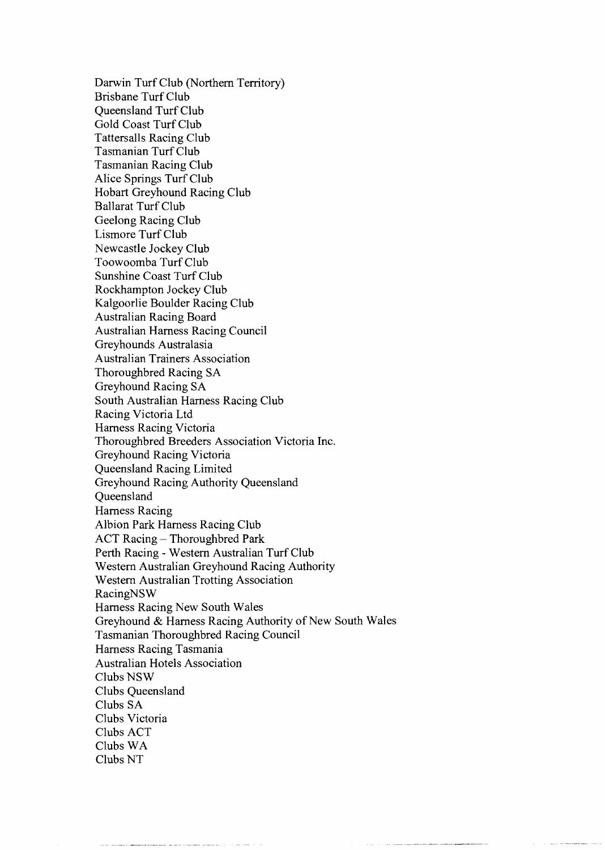Darwin Turf Club (Northern Territory) Brisbane Turf Club Queensland Turf Club Gold Coast Turf Club Tattersalls Racing Club Tasmanian Turf Club Tasmanian Racing Club Alice Springs Turf Club Hobart Greyhound Racing Club Ballarat Turf Club Geelong Racing Club Lismore Turf Club Newcastle Jockey Club Toowoomba Turf Club Sunshine Coast Turf Club Rockhampton Jockey Club Kalgoorlie Boulder Racing Club Australian Racing Board Australian Harness Racing Council Greyhounds Australasia Australian Trainers Association Thoroughbred Racing SA Greyhound Racing SA South Australian Harness Racing Club Racing Victoria Ltd Harness Racing Victoria Thoroughbred Breeders Association Victoria Inc. Greyhound Racing Victoria Queensland Racing Limited Greyhound Racing Authority Queensland **Oueensland** Harness Racing Albion Park Harness Racing Club ACT Racing - Thoroughbred Park Perth Racing - Western Australian Turf Club Western Australian Greyhound Racing Authority Western Australian Trotting Association RacingNSW Harness Racing New South Wales Greyhound & Harness Racing Authority of New South Wales Tasmanian Thoroughbred Racing Council Harness Racing Tasmania Australian Hotels Association Clubs NSW Clubs Queensland Clubs SA Clubs Victoria Clubs ACT Clubs WA Clubs NT